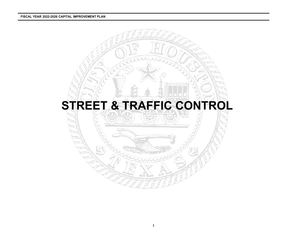#### **FISCAL YEAR 2022-2026 CAPITAL IMPROVEMENT PLAN**

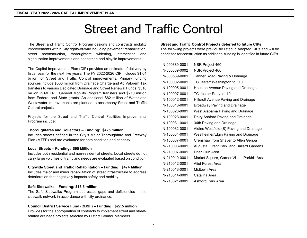# Street and Traffic Control

The Street and Traffic Control Program designs and constructs mobility improvements within City rights-of-way including pavement rehabilitation, street reconstruction, thoroughfare widening, intersection and signalization improvements and pedestrian and bicycle improvements.

The Capital Improvement Plan (CIP) provides an estimate of delivery by fiscal year for the next five years. The FY 2022-2026 CIP includes \$1.04 billion for Street and Traffic Control improvements. Primary funding sources include \$503 million from Drainage Charge and Ad Valorem Tax transfers to various Dedicated Drainage and Street Renewal Funds, \$310 million in METRO General Mobility Program transfers and \$210 million from Federal and State grants. An additional \$82 million of Water and Wastewater improvements are planned to accompany Street and Traffic Control projects.

Projects for the Street and Traffic Control Facilities Improvements Program include:

#### **Thoroughfares and Collectors – Funding: \$425 million**

Includes streets defined in the City's Major Thoroughfare and Freeway Plan (MTFP) and are evaluated for both condition and capacity.

#### **Local Streets – Funding: \$95 Million**

Includes both residential and non-residential streets. Local streets do not carry large volumes of traffic and needs are evaluated based on condition.

#### **Citywide Street and Traffic Rehabilitation – Funding: \$474 Million**

Includes major and minor rehabilitation of street infrastructure to address deterioration that negatively impacts safety and mobility.

#### **Safe Sidewalks – Funding: \$16.5 million**

The Safe Sidewalks Program addresses gaps and deficiencies in the sidewalk network in accordance with city ordinance.

#### **Council District Service Fund (CDSF) – Funding: \$27.5 million**

Provides for the appropriation of contracts to implement street and streetrelated drainage projects selected by District Council Members.

#### **Street and Traffic Control Projects deferred to future CIPs**

The following projects were previously listed in Adopted CIPs and will be prioritized for construction as additional funding is identified in future CIPs.

| N-000389-0001 | NSR Project 460                             |
|---------------|---------------------------------------------|
| N-000389-0002 | NSR Project 460                             |
| N-000589-0001 | Tanner Road Paving & Drainage               |
| N-100002-0001 | TC Jester: Washington to I 10               |
| N-100005-0001 | Houston Avenue Paving and Drainage          |
| N-100007-0001 | TC Jester: Petty to I10                     |
| N-100012-0001 | <b>Hillcroft Avenue Paving and Drainage</b> |
| N-100013-0001 | <b>Broadway Paving and Drainage</b>         |
| N-100020-0001 | West Alabama Paving and Drainage            |
| N-100023-0001 | Dairy Ashford Paving and Drainage           |
| N-100031-0001 | 34th Paving and Drainage                    |
| N-100032-0001 | Aldine Westfield (S) Paving and Drainage    |
| N-100034-0001 | Westheimer/Elgin Paving and Drainage        |
| N-100037-0001 | Crenshaw from Shaver to Allen Genoa         |
| N-210003-0001 | Augusta, Grant Park, and Ballard Gardens    |
| N-210007-0001 | <b>Briar Club Area</b>                      |
| N-210010-0001 | Market Square, Garner Villas, Parkhill Area |
| N-210012-0001 | Alief Forest Area                           |
| N-210013-0001 | Midtown Area                                |
| N-210014-0001 | Catalina Area                               |
| N-210021-0001 | Ashford Park Area                           |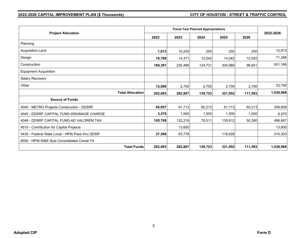## **2022-2026 CAPITAL IMPROVEMENT PLAN (\$ Thousands) CITY OF HOUSTON - STREET & TRAFFIC CONTROL**

|                                                 |         | <b>Fiscal Year Planned Appropriations</b> |         |         |         |           |  |  |  |
|-------------------------------------------------|---------|-------------------------------------------|---------|---------|---------|-----------|--|--|--|
| <b>Project Allocation</b>                       | 2022    | 2023                                      | 2024    | 2025    | 2026    | 2022-2026 |  |  |  |
| Planning                                        |         |                                           |         |         |         |           |  |  |  |
| Acquisition-Land                                | 1,813   | 10,250                                    | 250     | 250     | 250     | 12,813    |  |  |  |
| Design                                          | 18,789  | 14,371                                    | 12,042  | 14,042  | 12,042  | 71,286    |  |  |  |
| Construction                                    | 169,391 | 235,486                                   | 124,731 | 304,960 | 96,601  | 931,169   |  |  |  |
| <b>Equipment Acquisition</b>                    |         |                                           |         |         |         |           |  |  |  |
| Salary Recovery                                 |         |                                           |         |         |         |           |  |  |  |
| Other                                           | 12,900  | 2,700                                     | 2,700   | 2,700   | 2,700   | 23,700    |  |  |  |
| <b>Total Allocation</b>                         | 202,893 | 262,807                                   | 139,723 | 321,952 | 111,593 | 1,038,968 |  |  |  |
| <b>Source of Funds</b>                          |         |                                           |         |         |         |           |  |  |  |
| 4040 - METRO Projects Construction - DDSRF      | 65,957  | 61,713                                    | 60,213  | 61,713  | 60,213  | 309,808   |  |  |  |
| 4042 - DDSRF CAPITAL FUND-DRAINAGE CHARGE       | 3,570   | 1,500                                     | 1,000   | 1,500   | 1,000   | 8,570     |  |  |  |
| 4046 - DDSRF CAPITAL FUND-AD VALOREM TAX        | 105,769 | 122,216                                   | 78,511  | 139,812 | 50,380  | 496,687   |  |  |  |
| 4510 - Contribution for Capital Projects        |         | 13,600                                    |         |         |         | 13,600    |  |  |  |
| 5430 - Federal State Local - HPW Pass thru DDSR | 27,598  | 63,778                                    |         | 118,928 |         | 210,303   |  |  |  |
| 8500 - HPW-W&S Syst Consolidated Constr Fd      |         |                                           |         |         |         |           |  |  |  |
| <b>Total Funds</b>                              | 202,893 | 262,807                                   | 139,723 | 321,952 | 111,593 | 1,038,968 |  |  |  |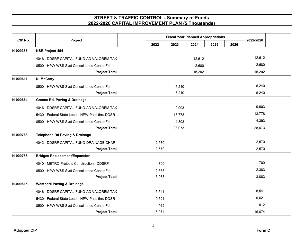| CIP No.  | Project                                         |        | <b>Fiscal Year Planned Appropriations</b> | 2022-2026 |      |      |        |  |
|----------|-------------------------------------------------|--------|-------------------------------------------|-----------|------|------|--------|--|
|          |                                                 | 2022   | 2023                                      | 2024      | 2025 | 2026 |        |  |
| N-000386 | <b>NSR Project 454</b>                          |        |                                           |           |      |      |        |  |
|          | 4046 - DDSRF CAPITAL FUND-AD VALOREM TAX        |        |                                           | 12,612    |      |      | 12,612 |  |
|          | 8500 - HPW-W&S Syst Consolidated Constr Fd      |        |                                           | 2,680     |      |      | 2,680  |  |
|          | <b>Project Total</b>                            |        |                                           | 15,292    |      |      | 15,292 |  |
| N-000611 | N. McCarty                                      |        |                                           |           |      |      |        |  |
|          | 8500 - HPW-W&S Syst Consolidated Constr Fd      |        | 6,240                                     |           |      |      | 6,240  |  |
|          | <b>Project Total</b>                            |        | 6,240                                     |           |      |      | 6,240  |  |
| N-000664 | <b>Greens Rd. Paving &amp; Drainage</b>         |        |                                           |           |      |      |        |  |
|          | 4046 - DDSRF CAPITAL FUND-AD VALOREM TAX        |        | 9,903                                     |           |      |      | 9,903  |  |
|          | 5430 - Federal State Local - HPW Pass thru DDSR |        | 13,778                                    |           |      |      | 13,778 |  |
|          | 8500 - HPW-W&S Syst Consolidated Constr Fd      |        | 4,393                                     |           |      |      | 4,393  |  |
|          | <b>Project Total</b>                            |        | 28,073                                    |           |      |      | 28,073 |  |
| N-000768 | <b>Telephone Rd Paving &amp; Drainage</b>       |        |                                           |           |      |      |        |  |
|          | 4042 - DDSRF CAPITAL FUND-DRAINAGE CHAR         | 2,570  |                                           |           |      |      | 2,570  |  |
|          | <b>Project Total</b>                            | 2,570  |                                           |           |      |      | 2,570  |  |
| N-000785 | <b>Bridges Replacement/Expansion</b>            |        |                                           |           |      |      |        |  |
|          | 4040 - METRO Projects Construction - DDSRF      | 700    |                                           |           |      |      | 700    |  |
|          | 8500 - HPW-W&S Syst Consolidated Constr Fd      | 2,383  |                                           |           |      |      | 2,383  |  |
|          | <b>Project Total</b>                            | 3,083  |                                           |           |      |      | 3,083  |  |
| N-000815 | <b>Westpark Paving &amp; Drainage</b>           |        |                                           |           |      |      |        |  |
|          | 4046 - DDSRF CAPITAL FUND-AD VALOREM TAX        | 5,541  |                                           |           |      |      | 5,541  |  |
|          | 5430 - Federal State Local - HPW Pass thru DDSR | 9,621  |                                           |           |      |      | 9,621  |  |
|          | 8500 - HPW-W&S Syst Consolidated Constr Fd      | 912    |                                           |           |      |      | 912    |  |
|          | <b>Project Total</b>                            | 16,074 |                                           |           |      |      | 16,074 |  |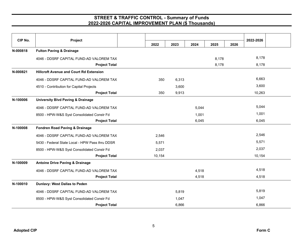| CIP No.  | Project                                                                                                                                                                                                                                                                                                                                                                                                   |        |       |       |       |      | 2022-2026 |  |
|----------|-----------------------------------------------------------------------------------------------------------------------------------------------------------------------------------------------------------------------------------------------------------------------------------------------------------------------------------------------------------------------------------------------------------|--------|-------|-------|-------|------|-----------|--|
|          | <b>Fulton Paving &amp; Drainage</b><br><b>Hillcroft Avenue and Court Rd Extension</b><br>4510 - Contribution for Capital Projects<br><b>University Blvd Paving &amp; Drainage</b><br>8500 - HPW-W&S Syst Consolidated Constr Fd<br><b>Fondren Road Paving &amp; Drainage</b><br>8500 - HPW-W&S Syst Consolidated Constr Fd<br><b>Antoine Drive Paving &amp; Drainage</b><br>Dunlavy: West Dallas to Peden | 2022   | 2023  | 2024  | 2025  | 2026 |           |  |
| N-000818 |                                                                                                                                                                                                                                                                                                                                                                                                           |        |       |       |       |      |           |  |
|          | 4046 - DDSRF CAPITAL FUND-AD VALOREM TAX                                                                                                                                                                                                                                                                                                                                                                  |        |       |       | 8,178 |      | 8,178     |  |
|          | <b>Project Total</b>                                                                                                                                                                                                                                                                                                                                                                                      |        |       |       | 8,178 |      | 8,178     |  |
| N-000821 |                                                                                                                                                                                                                                                                                                                                                                                                           |        |       |       |       |      |           |  |
|          | 4046 - DDSRF CAPITAL FUND-AD VALOREM TAX                                                                                                                                                                                                                                                                                                                                                                  | 350    | 6,313 |       |       |      | 6,663     |  |
|          |                                                                                                                                                                                                                                                                                                                                                                                                           |        | 3,600 |       |       |      | 3,600     |  |
|          | <b>Project Total</b>                                                                                                                                                                                                                                                                                                                                                                                      | 350    | 9,913 |       |       |      | 10,263    |  |
| N-100006 |                                                                                                                                                                                                                                                                                                                                                                                                           |        |       |       |       |      |           |  |
|          | 4046 - DDSRF CAPITAL FUND-AD VALOREM TAX                                                                                                                                                                                                                                                                                                                                                                  |        |       | 5,044 |       |      | 5,044     |  |
|          |                                                                                                                                                                                                                                                                                                                                                                                                           |        |       | 1,001 |       |      | 1,001     |  |
|          | <b>Project Total</b>                                                                                                                                                                                                                                                                                                                                                                                      |        |       | 6,045 |       |      | 6,045     |  |
| N-100008 |                                                                                                                                                                                                                                                                                                                                                                                                           |        |       |       |       |      |           |  |
|          | 4046 - DDSRF CAPITAL FUND-AD VALOREM TAX                                                                                                                                                                                                                                                                                                                                                                  | 2,546  |       |       |       |      | 2,546     |  |
|          | 5430 - Federal State Local - HPW Pass thru DDSR                                                                                                                                                                                                                                                                                                                                                           | 5,571  |       |       |       |      | 5,571     |  |
|          |                                                                                                                                                                                                                                                                                                                                                                                                           | 2,037  |       |       |       |      | 2,037     |  |
|          | <b>Project Total</b>                                                                                                                                                                                                                                                                                                                                                                                      | 10,154 |       |       |       |      | 10,154    |  |
| N-100009 |                                                                                                                                                                                                                                                                                                                                                                                                           |        |       |       |       |      |           |  |
|          | 4046 - DDSRF CAPITAL FUND-AD VALOREM TAX                                                                                                                                                                                                                                                                                                                                                                  |        |       | 4,518 |       |      | 4,518     |  |
|          | <b>Project Total</b>                                                                                                                                                                                                                                                                                                                                                                                      |        |       | 4,518 |       |      | 4,518     |  |
| N-100010 |                                                                                                                                                                                                                                                                                                                                                                                                           |        |       |       |       |      |           |  |
|          | 4046 - DDSRF CAPITAL FUND-AD VALOREM TAX                                                                                                                                                                                                                                                                                                                                                                  |        | 5,819 |       |       |      | 5,819     |  |
|          | 8500 - HPW-W&S Syst Consolidated Constr Fd                                                                                                                                                                                                                                                                                                                                                                |        | 1,047 |       |       |      | 1,047     |  |
|          | <b>Project Total</b>                                                                                                                                                                                                                                                                                                                                                                                      |        | 6,866 |       |       |      | 6,866     |  |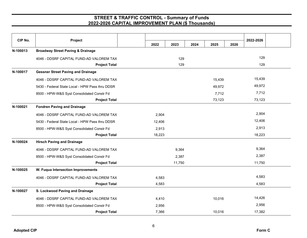| CIP No.  | Project                                         |        |        |      |        | 2022-2026 |        |  |
|----------|-------------------------------------------------|--------|--------|------|--------|-----------|--------|--|
|          |                                                 | 2022   | 2023   | 2024 | 2025   | 2026      |        |  |
| N-100013 | <b>Broadway Street Paving &amp; Drainage</b>    |        |        |      |        |           |        |  |
|          | 4046 - DDSRF CAPITAL FUND-AD VALOREM TAX        |        | 129    |      |        |           | 129    |  |
|          | <b>Project Total</b>                            |        | 129    |      |        |           | 129    |  |
| N-100017 | <b>Gessner Street Paving and Drainage</b>       |        |        |      |        |           |        |  |
|          | 4046 - DDSRF CAPITAL FUND-AD VALOREM TAX        |        |        |      | 15,439 |           | 15,439 |  |
|          | 5430 - Federal State Local - HPW Pass thru DDSR |        |        |      | 49,972 |           | 49,972 |  |
|          | 8500 - HPW-W&S Syst Consolidated Constr Fd      |        |        |      | 7,712  |           | 7,712  |  |
|          | <b>Project Total</b>                            |        |        |      | 73,123 |           | 73,123 |  |
| N-100021 | <b>Fondren Paving and Drainage</b>              |        |        |      |        |           |        |  |
|          | 4046 - DDSRF CAPITAL FUND-AD VALOREM TAX        | 2,904  |        |      |        |           | 2,904  |  |
|          | 5430 - Federal State Local - HPW Pass thru DDSR | 12,406 |        |      |        |           | 12,406 |  |
|          | 8500 - HPW-W&S Syst Consolidated Constr Fd      | 2,913  |        |      |        |           | 2,913  |  |
|          | <b>Project Total</b>                            | 18,223 |        |      |        |           | 18,223 |  |
| N-100024 | <b>Hirsch Paving and Drainage</b>               |        |        |      |        |           |        |  |
|          | 4046 - DDSRF CAPITAL FUND-AD VALOREM TAX        |        | 9,364  |      |        |           | 9,364  |  |
|          | 8500 - HPW-W&S Syst Consolidated Constr Fd      |        | 2,387  |      |        |           | 2,387  |  |
|          | <b>Project Total</b>                            |        | 11,750 |      |        |           | 11,750 |  |
| N-100025 | W. Fuqua Intersection Improvements              |        |        |      |        |           |        |  |
|          | 4046 - DDSRF CAPITAL FUND-AD VALOREM TAX        | 4,583  |        |      |        |           | 4,583  |  |
|          | <b>Project Total</b>                            | 4,583  |        |      |        |           | 4,583  |  |
| N-100027 | S. Lockwood Paving and Drainage                 |        |        |      |        |           |        |  |
|          | 4046 - DDSRF CAPITAL FUND-AD VALOREM TAX        | 4,410  |        |      | 10,016 |           | 14,426 |  |
|          | 8500 - HPW-W&S Syst Consolidated Constr Fd      | 2,956  |        |      |        |           | 2,956  |  |
|          | <b>Project Total</b>                            | 7,366  |        |      | 10,016 |           | 17,382 |  |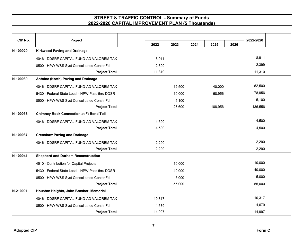| CIP No.  | Project                                         | 2022   | 2023   | 2024 | 2025    | 2026 | 2022-2026 |  |
|----------|-------------------------------------------------|--------|--------|------|---------|------|-----------|--|
| N-100029 | <b>Kirkwood Paving and Drainage</b>             |        |        |      |         |      |           |  |
|          | 4046 - DDSRF CAPITAL FUND-AD VALOREM TAX        | 8,911  |        |      |         |      | 8,911     |  |
|          | 8500 - HPW-W&S Syst Consolidated Constr Fd      | 2,399  |        |      |         |      | 2,399     |  |
|          | <b>Project Total</b>                            | 11,310 |        |      |         |      | 11,310    |  |
| N-100030 | Antoine (North) Paving and Drainage             |        |        |      |         |      |           |  |
|          | 4046 - DDSRF CAPITAL FUND-AD VALOREM TAX        |        | 12,500 |      | 40,000  |      | 52,500    |  |
|          | 5430 - Federal State Local - HPW Pass thru DDSR |        | 10,000 |      | 68,956  |      | 78,956    |  |
|          | 8500 - HPW-W&S Syst Consolidated Constr Fd      |        | 5,100  |      |         |      | 5,100     |  |
|          | <b>Project Total</b>                            |        | 27,600 |      | 108,956 |      | 136,556   |  |
| N-100036 | <b>Chimney Rock Connection at Ft Bend Toll</b>  |        |        |      |         |      |           |  |
|          | 4046 - DDSRF CAPITAL FUND-AD VALOREM TAX        | 4,500  |        |      |         |      | 4,500     |  |
|          | <b>Project Total</b>                            | 4,500  |        |      |         |      | 4,500     |  |
| N-100037 | <b>Crenshaw Paving and Drainage</b>             |        |        |      |         |      |           |  |
|          | 4046 - DDSRF CAPITAL FUND-AD VALOREM TAX        | 2,290  |        |      |         |      | 2,290     |  |
|          | <b>Project Total</b>                            | 2,290  |        |      |         |      | 2,290     |  |
| N-100041 | <b>Shepherd and Durham Reconstruction</b>       |        |        |      |         |      |           |  |
|          | 4510 - Contribution for Capital Projects        |        | 10,000 |      |         |      | 10,000    |  |
|          | 5430 - Federal State Local - HPW Pass thru DDSR |        | 40,000 |      |         |      | 40,000    |  |
|          | 8500 - HPW-W&S Syst Consolidated Constr Fd      |        | 5,000  |      |         |      | 5,000     |  |
|          | <b>Project Total</b>                            |        | 55,000 |      |         |      | 55,000    |  |
| N-210001 | Houston Heights, John Brasher, Memorial         |        |        |      |         |      |           |  |
|          | 4046 - DDSRF CAPITAL FUND-AD VALOREM TAX        | 10,317 |        |      |         |      | 10,317    |  |
|          | 8500 - HPW-W&S Syst Consolidated Constr Fd      | 4,679  |        |      |         |      | 4,679     |  |
|          | <b>Project Total</b>                            | 14,997 |        |      |         |      | 14,997    |  |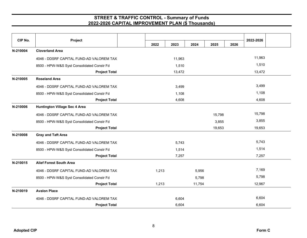| CIP No.  | Project                                    |       |        |        |        |      |           |  |
|----------|--------------------------------------------|-------|--------|--------|--------|------|-----------|--|
|          |                                            | 2022  | 2023   | 2024   | 2025   | 2026 | 2022-2026 |  |
| N-210004 | <b>Cloverland Area</b>                     |       |        |        |        |      |           |  |
|          | 4046 - DDSRF CAPITAL FUND-AD VALOREM TAX   |       | 11,963 |        |        |      | 11,963    |  |
|          | 8500 - HPW-W&S Syst Consolidated Constr Fd |       | 1,510  |        |        |      | 1,510     |  |
|          | <b>Project Total</b>                       |       | 13,472 |        |        |      | 13,472    |  |
| N-210005 | <b>Roseland Area</b>                       |       |        |        |        |      |           |  |
|          | 4046 - DDSRF CAPITAL FUND-AD VALOREM TAX   |       | 3,499  |        |        |      | 3,499     |  |
|          | 8500 - HPW-W&S Syst Consolidated Constr Fd |       | 1,108  |        |        |      | 1,108     |  |
|          | <b>Project Total</b>                       |       | 4,608  |        |        |      | 4,608     |  |
| N-210006 | <b>Huntington Village Sec 4 Area</b>       |       |        |        |        |      |           |  |
|          | 4046 - DDSRF CAPITAL FUND-AD VALOREM TAX   |       |        |        | 15,798 |      | 15,798    |  |
|          | 8500 - HPW-W&S Syst Consolidated Constr Fd |       |        |        | 3,855  |      | 3,855     |  |
|          | <b>Project Total</b>                       |       |        |        | 19,653 |      | 19,653    |  |
| N-210008 | <b>Gray and Taft Area</b>                  |       |        |        |        |      |           |  |
|          | 4046 - DDSRF CAPITAL FUND-AD VALOREM TAX   |       | 5,743  |        |        |      | 5,743     |  |
|          | 8500 - HPW-W&S Syst Consolidated Constr Fd |       | 1,514  |        |        |      | 1,514     |  |
|          | <b>Project Total</b>                       |       | 7,257  |        |        |      | 7,257     |  |
| N-210015 | <b>Alief Forest South Area</b>             |       |        |        |        |      |           |  |
|          | 4046 - DDSRF CAPITAL FUND-AD VALOREM TAX   | 1,213 |        | 5,956  |        |      | 7,169     |  |
|          | 8500 - HPW-W&S Syst Consolidated Constr Fd |       |        | 5,798  |        |      | 5,798     |  |
|          | <b>Project Total</b>                       | 1,213 |        | 11,754 |        |      | 12,967    |  |
| N-210019 | <b>Avalon Place</b>                        |       |        |        |        |      |           |  |
|          | 4046 - DDSRF CAPITAL FUND-AD VALOREM TAX   |       | 6,604  |        |        |      | 6,604     |  |
|          | <b>Project Total</b>                       |       | 6,604  |        |        |      | 6,604     |  |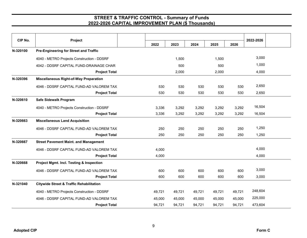| CIP No.  | Project                                             | 2022   | 2023   | 2024   | 2025   | 2026   | 2022-2026 |  |
|----------|-----------------------------------------------------|--------|--------|--------|--------|--------|-----------|--|
| N-320100 | Pre-Engineering for Street and Traffic              |        |        |        |        |        |           |  |
|          |                                                     |        |        |        |        |        |           |  |
|          | 4040 - METRO Projects Construction - DDSRF          |        | 1,500  |        | 1,500  |        | 3,000     |  |
|          | 4042 - DDSRF CAPITAL FUND-DRAINAGE CHAR             |        | 500    |        | 500    |        | 1,000     |  |
|          | <b>Project Total</b>                                |        | 2,000  |        | 2,000  |        | 4,000     |  |
| N-320396 | <b>Miscellaneous Right-of-Way Preparation</b>       |        |        |        |        |        |           |  |
|          | 4046 - DDSRF CAPITAL FUND-AD VALOREM TAX            | 530    | 530    | 530    | 530    | 530    | 2,650     |  |
|          | <b>Project Total</b>                                | 530    | 530    | 530    | 530    | 530    | 2,650     |  |
| N-320610 | Safe Sidewalk Program                               |        |        |        |        |        |           |  |
|          | 4040 - METRO Projects Construction - DDSRF          | 3,336  | 3,292  | 3,292  | 3,292  | 3,292  | 16,504    |  |
|          | <b>Project Total</b>                                | 3,336  | 3,292  | 3,292  | 3,292  | 3,292  | 16,504    |  |
| N-320663 | <b>Miscellaneous Land Acquisition</b>               |        |        |        |        |        |           |  |
|          | 4046 - DDSRF CAPITAL FUND-AD VALOREM TAX            | 250    | 250    | 250    | 250    | 250    | 1,250     |  |
|          | <b>Project Total</b>                                | 250    | 250    | 250    | 250    | 250    | 1,250     |  |
| N-320667 | <b>Street Pavement Maint. and Management</b>        |        |        |        |        |        |           |  |
|          | 4046 - DDSRF CAPITAL FUND-AD VALOREM TAX            | 4,000  |        |        |        |        | 4,000     |  |
|          | <b>Project Total</b>                                | 4,000  |        |        |        |        | 4,000     |  |
| N-320668 | Project Mgmt. Incl. Testing & Inspection            |        |        |        |        |        |           |  |
|          | 4046 - DDSRF CAPITAL FUND-AD VALOREM TAX            | 600    | 600    | 600    | 600    | 600    | 3,000     |  |
|          | <b>Project Total</b>                                | 600    | 600    | 600    | 600    | 600    | 3,000     |  |
| N-321040 | <b>Citywide Street &amp; Traffic Rehabilitation</b> |        |        |        |        |        |           |  |
|          | 4040 - METRO Projects Construction - DDSRF          | 49,721 | 49,721 | 49,721 | 49,721 | 49,721 | 248,604   |  |
|          | 4046 - DDSRF CAPITAL FUND-AD VALOREM TAX            | 45,000 | 45,000 | 45,000 | 45,000 | 45,000 | 225,000   |  |
|          | <b>Project Total</b>                                | 94,721 | 94,721 | 94,721 | 94,721 | 94,721 | 473,604   |  |